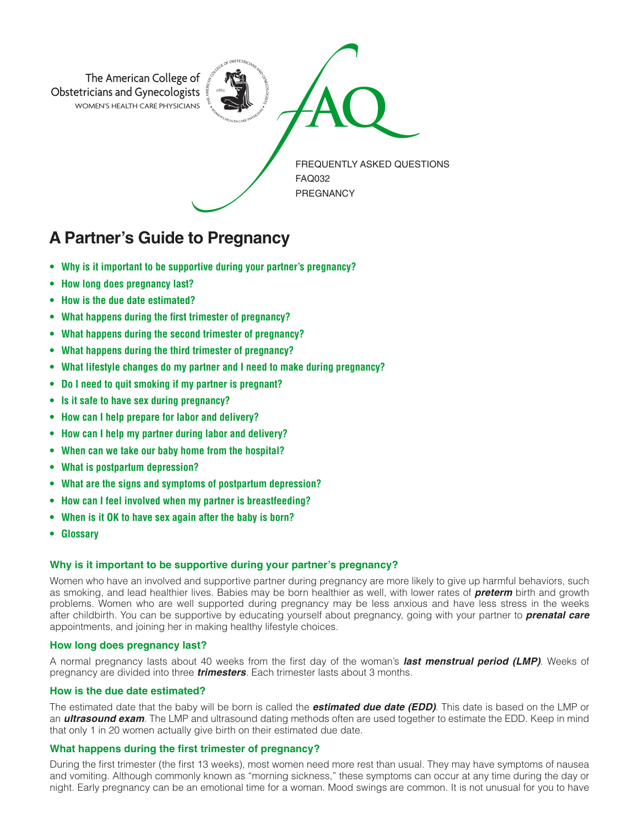

# **A Partner's Guide to Pregnancy**

- **• Why is it important to be supportive during your partner's pregnancy?**
- **• How long does pregnancy last?**
- **• How is the due date estimated?**
- **• What happens during the first trimester of pregnancy?**
- **• What happens during the second trimester of pregnancy?**
- **• What happens during the third trimester of pregnancy?**
- **• What lifestyle changes do my partner and I need to make during pregnancy?**
- **• Do I need to quit smoking if my partner is pregnant?**
- **• Is it safe to have sex during pregnancy?**
- **• How can I help prepare for labor and delivery?**
- **• How can I help my partner during labor and delivery?**
- **• When can we take our baby home from the hospital?**
- **• What is postpartum depression?**
- **• What are the signs and symptoms of postpartum depression?**
- **• How can I feel involved when my partner is breastfeeding?**
- **• When is it OK to have sex again after the baby is born?**
- **• Glossary**

## **Why is it important to be supportive during your partner's pregnancy?**

Women who have an involved and supportive partner during pregnancy are more likely to give up harmful behaviors, such as smoking, and lead healthier lives. Babies may be born healthier as well, with lower rates of *preterm* birth and growth problems. Women who are well supported during pregnancy may be less anxious and have less stress in the weeks after childbirth. You can be supportive by educating yourself about pregnancy, going with your partner to *prenatal care*  appointments, and joining her in making healthy lifestyle choices.

## **How long does pregnancy last?**

A normal pregnancy lasts about 40 weeks from the first day of the woman's *last menstrual period (LMP)*. Weeks of pregnancy are divided into three *trimesters*. Each trimester lasts about 3 months.

#### **How is the due date estimated?**

The estimated date that the baby will be born is called the *estimated due date (EDD)*. This date is based on the LMP or an *ultrasound exam*. The LMP and ultrasound dating methods often are used together to estimate the EDD. Keep in mind that only 1 in 20 women actually give birth on their estimated due date.

#### **What happens during the first trimester of pregnancy?**

During the first trimester (the first 13 weeks), most women need more rest than usual. They may have symptoms of nausea and vomiting. Although commonly known as "morning sickness," these symptoms can occur at any time during the day or night. Early pregnancy can be an emotional time for a woman. Mood swings are common. It is not unusual for you to have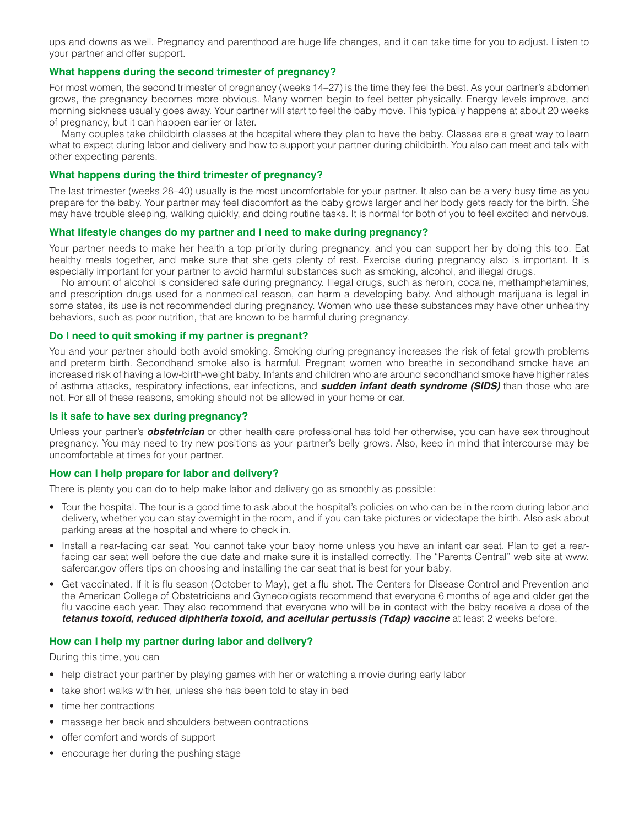ups and downs as well. Pregnancy and parenthood are huge life changes, and it can take time for you to adjust. Listen to your partner and offer support.

# **What happens during the second trimester of pregnancy?**

For most women, the second trimester of pregnancy (weeks 14–27) is the time they feel the best. As your partner's abdomen grows, the pregnancy becomes more obvious. Many women begin to feel better physically. Energy levels improve, and morning sickness usually goes away. Your partner will start to feel the baby move. This typically happens at about 20 weeks of pregnancy, but it can happen earlier or later.

Many couples take childbirth classes at the hospital where they plan to have the baby. Classes are a great way to learn what to expect during labor and delivery and how to support your partner during childbirth. You also can meet and talk with other expecting parents.

#### **What happens during the third trimester of pregnancy?**

The last trimester (weeks 28–40) usually is the most uncomfortable for your partner. It also can be a very busy time as you prepare for the baby. Your partner may feel discomfort as the baby grows larger and her body gets ready for the birth. She may have trouble sleeping, walking quickly, and doing routine tasks. It is normal for both of you to feel excited and nervous.

#### **What lifestyle changes do my partner and I need to make during pregnancy?**

Your partner needs to make her health a top priority during pregnancy, and you can support her by doing this too. Eat healthy meals together, and make sure that she gets plenty of rest. Exercise during pregnancy also is important. It is especially important for your partner to avoid harmful substances such as smoking, alcohol, and illegal drugs.

No amount of alcohol is considered safe during pregnancy. Illegal drugs, such as heroin, cocaine, methamphetamines, and prescription drugs used for a nonmedical reason, can harm a developing baby. And although marijuana is legal in some states, its use is not recommended during pregnancy. Women who use these substances may have other unhealthy behaviors, such as poor nutrition, that are known to be harmful during pregnancy.

#### **Do I need to quit smoking if my partner is pregnant?**

You and your partner should both avoid smoking. Smoking during pregnancy increases the risk of fetal growth problems and preterm birth. Secondhand smoke also is harmful. Pregnant women who breathe in secondhand smoke have an increased risk of having a low-birth-weight baby. Infants and children who are around secondhand smoke have higher rates of asthma attacks, respiratory infections, ear infections, and *sudden infant death syndrome (SIDS)* than those who are not. For all of these reasons, smoking should not be allowed in your home or car.

## **Is it safe to have sex during pregnancy?**

Unless your partner's *obstetrician* or other health care professional has told her otherwise, you can have sex throughout pregnancy. You may need to try new positions as your partner's belly grows. Also, keep in mind that intercourse may be uncomfortable at times for your partner.

# **How can I help prepare for labor and delivery?**

There is plenty you can do to help make labor and delivery go as smoothly as possible:

- Tour the hospital. The tour is a good time to ask about the hospital's policies on who can be in the room during labor and delivery, whether you can stay overnight in the room, and if you can take pictures or videotape the birth. Also ask about parking areas at the hospital and where to check in.
- Install a rear-facing car seat. You cannot take your baby home unless you have an infant car seat. Plan to get a rearfacing car seat well before the due date and make sure it is installed correctly. The "Parents Central" web site at www. safercar.gov offers tips on choosing and installing the car seat that is best for your baby.
- Get vaccinated. If it is flu season (October to May), get a flu shot. The Centers for Disease Control and Prevention and the American College of Obstetricians and Gynecologists recommend that everyone 6 months of age and older get the flu vaccine each year. They also recommend that everyone who will be in contact with the baby receive a dose of the *tetanus toxoid, reduced diphtheria toxoid, and acellular pertussis (Tdap) vaccine* at least 2 weeks before.

### **How can I help my partner during labor and delivery?**

During this time, you can

- help distract your partner by playing games with her or watching a movie during early labor
- take short walks with her, unless she has been told to stay in bed
- time her contractions
- massage her back and shoulders between contractions
- offer comfort and words of support
- encourage her during the pushing stage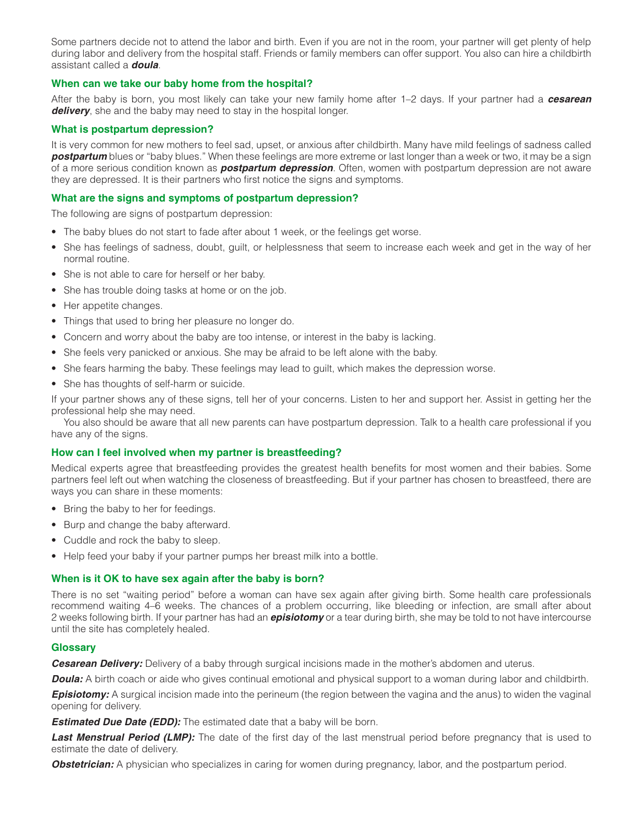Some partners decide not to attend the labor and birth. Even if you are not in the room, your partner will get plenty of help during labor and delivery from the hospital staff. Friends or family members can offer support. You also can hire a childbirth assistant called a *doula*.

# **When can we take our baby home from the hospital?**

After the baby is born, you most likely can take your new family home after 1–2 days. If your partner had a *cesarean delivery*, she and the baby may need to stay in the hospital longer.

# **What is postpartum depression?**

It is very common for new mothers to feel sad, upset, or anxious after childbirth. Many have mild feelings of sadness called *postpartum* blues or "baby blues." When these feelings are more extreme or last longer than a week or two, it may be a sign of a more serious condition known as *postpartum depression*. Often, women with postpartum depression are not aware they are depressed. It is their partners who first notice the signs and symptoms.

# **What are the signs and symptoms of postpartum depression?**

The following are signs of postpartum depression:

- The baby blues do not start to fade after about 1 week, or the feelings get worse.
- She has feelings of sadness, doubt, guilt, or helplessness that seem to increase each week and get in the way of her normal routine.
- She is not able to care for herself or her baby.
- She has trouble doing tasks at home or on the job.
- Her appetite changes.
- Things that used to bring her pleasure no longer do.
- Concern and worry about the baby are too intense, or interest in the baby is lacking.
- She feels very panicked or anxious. She may be afraid to be left alone with the baby.
- She fears harming the baby. These feelings may lead to guilt, which makes the depression worse.
- She has thoughts of self-harm or suicide.

If your partner shows any of these signs, tell her of your concerns. Listen to her and support her. Assist in getting her the professional help she may need.

You also should be aware that all new parents can have postpartum depression. Talk to a health care professional if you have any of the signs.

# **How can I feel involved when my partner is breastfeeding?**

Medical experts agree that breastfeeding provides the greatest health benefits for most women and their babies. Some partners feel left out when watching the closeness of breastfeeding. But if your partner has chosen to breastfeed, there are ways you can share in these moments:

- Bring the baby to her for feedings.
- Burp and change the baby afterward.
- Cuddle and rock the baby to sleep.
- Help feed your baby if your partner pumps her breast milk into a bottle.

# **When is it OK to have sex again after the baby is born?**

There is no set "waiting period" before a woman can have sex again after giving birth. Some health care professionals recommend waiting 4–6 weeks. The chances of a problem occurring, like bleeding or infection, are small after about 2 weeks following birth. If your partner has had an *episiotomy* or a tear during birth, she may be told to not have intercourse until the site has completely healed.

# **Glossary**

*Cesarean Delivery:* Delivery of a baby through surgical incisions made in the mother's abdomen and uterus.

*Doula:* A birth coach or aide who gives continual emotional and physical support to a woman during labor and childbirth.

**Episiotomy:** A surgical incision made into the perineum (the region between the vagina and the anus) to widen the vaginal opening for delivery.

**Estimated Due Date (EDD):** The estimated date that a baby will be born.

*Last Menstrual Period (LMP):* The date of the first day of the last menstrual period before pregnancy that is used to estimate the date of delivery.

**Obstetrician:** A physician who specializes in caring for women during pregnancy, labor, and the postpartum period.